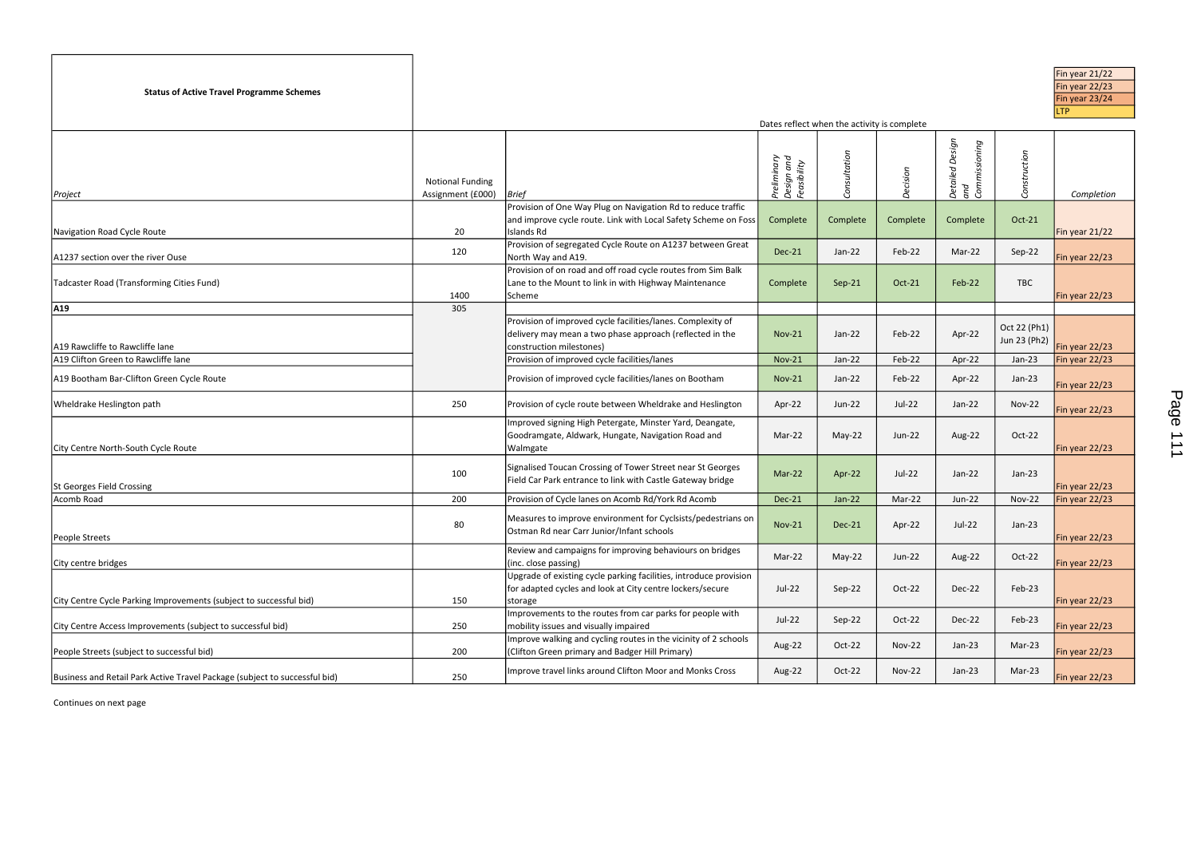| <b>Status of Active Travel Programme Schemes</b>                           |                                              |                                                                                                                                                     |                                          |                                             |               |                                            |                              | Fin year 21/22<br>Fin year 22/23<br>Fin year 23/24<br>LTP. |
|----------------------------------------------------------------------------|----------------------------------------------|-----------------------------------------------------------------------------------------------------------------------------------------------------|------------------------------------------|---------------------------------------------|---------------|--------------------------------------------|------------------------------|------------------------------------------------------------|
|                                                                            |                                              |                                                                                                                                                     |                                          | Dates reflect when the activity is complete |               |                                            |                              |                                                            |
| <i>Project</i>                                                             | <b>Notional Funding</b><br>Assignment (£000) | Brief                                                                                                                                               | Preliminary<br>Design and<br>Feasibility | Consultation                                | Decision      | Design<br> <br> <br> and<br> Commissioning | Construction                 | Completion                                                 |
|                                                                            |                                              | Provision of One Way Plug on Navigation Rd to reduce traffic                                                                                        |                                          |                                             |               |                                            |                              |                                                            |
|                                                                            |                                              | and improve cycle route. Link with Local Safety Scheme on Foss                                                                                      | Complete                                 | Complete                                    | Complete      | Complete                                   | Oct-21                       |                                                            |
| Navigation Road Cycle Route                                                | 20                                           | Islands Rd                                                                                                                                          |                                          |                                             |               |                                            |                              | Fin year 21/22                                             |
| A1237 section over the river Ouse                                          | 120                                          | Provision of segregated Cycle Route on A1237 between Great<br>North Way and A19.                                                                    | <b>Dec-21</b>                            | Jan-22                                      | Feb-22        | Mar-22                                     | Sep-22                       | Fin year 22/23                                             |
| Tadcaster Road (Transforming Cities Fund)                                  | 1400                                         | Provision of on road and off road cycle routes from Sim Balk<br>Lane to the Mount to link in with Highway Maintenance<br>Scheme                     | Complete                                 | Sep-21                                      | Oct-21        | Feb-22                                     | <b>TBC</b>                   | Fin year 22/23                                             |
| A19                                                                        | 305                                          |                                                                                                                                                     |                                          |                                             |               |                                            |                              |                                                            |
| A19 Rawcliffe to Rawcliffe lane                                            |                                              | Provision of improved cycle facilities/lanes. Complexity of<br>delivery may mean a two phase approach (reflected in the<br>construction milestones) | <b>Nov-21</b>                            | Jan-22                                      | Feb-22        | Apr-22                                     | Oct 22 (Ph1)<br>Jun 23 (Ph2) | Fin year $22/23$                                           |
| A19 Clifton Green to Rawcliffe lane                                        |                                              | Provision of improved cycle facilities/lanes                                                                                                        | <b>Nov-21</b>                            | Jan-22                                      | Feb-22        | Apr-22                                     | $Jan-23$                     | Fin year 22/23                                             |
| A19 Bootham Bar-Clifton Green Cycle Route                                  |                                              | Provision of improved cycle facilities/lanes on Bootham                                                                                             | <b>Nov-21</b>                            | Jan-22                                      | Feb-22        | Apr-22                                     | $Jan-23$                     | Fin year 22/23                                             |
| Wheldrake Heslington path                                                  | 250                                          | Provision of cycle route between Wheldrake and Heslington                                                                                           | Apr-22                                   | Jun-22                                      | Jul-22        | $Jan-22$                                   | <b>Nov-22</b>                | Fin year 22/23                                             |
| City Centre North-South Cycle Route                                        |                                              | Improved signing High Petergate, Minster Yard, Deangate,<br>Goodramgate, Aldwark, Hungate, Navigation Road and<br>Walmgate                          | Mar-22                                   | May-22                                      | Jun-22        | Aug-22                                     | Oct-22                       | Fin year 22/23                                             |
| St Georges Field Crossing                                                  | 100                                          | Signalised Toucan Crossing of Tower Street near St Georges<br>Field Car Park entrance to link with Castle Gateway bridge                            | $Mar-22$                                 | Apr-22                                      | $Jul-22$      | Jan-22                                     | $Jan-23$                     | Fin year 22/23                                             |
| Acomb Road                                                                 | 200                                          | Provision of Cycle lanes on Acomb Rd/York Rd Acomb                                                                                                  | <b>Dec-21</b>                            | Jan-22                                      | Mar-22        | Jun-22                                     | <b>Nov-22</b>                | Fin year 22/23                                             |
| People Streets                                                             | 80                                           | Measures to improve environment for Cyclsists/pedestrians on<br>Ostman Rd near Carr Junior/Infant schools                                           | <b>Nov-21</b>                            | Dec-21                                      | Apr-22        | Jul-22                                     | $Jan-23$                     | Fin year 22/23                                             |
| City centre bridges                                                        |                                              | Review and campaigns for improving behaviours on bridges<br>(inc. close passing)                                                                    | Mar-22                                   | May-22                                      | Jun-22        | Aug-22                                     | Oct-22                       | Fin year 22/23                                             |
| City Centre Cycle Parking Improvements (subject to successful bid)         | 150                                          | Upgrade of existing cycle parking facilities, introduce provision<br>for adapted cycles and look at City centre lockers/secure<br>storage           | $Jul-22$                                 | Sep-22                                      | Oct-22        | Dec-22                                     | Feb-23                       | Fin year $22/23$                                           |
| City Centre Access Improvements (subject to successful bid)                | 250                                          | Improvements to the routes from car parks for people with<br>mobility issues and visually impaired                                                  | Jul-22                                   | Sep-22                                      | Oct-22        | Dec-22                                     | Feb-23                       | Fin year 22/23                                             |
| People Streets (subject to successful bid)                                 | 200                                          | Improve walking and cycling routes in the vicinity of 2 schools<br>(Clifton Green primary and Badger Hill Primary)                                  | Aug-22                                   | Oct-22                                      | <b>Nov-22</b> | $Jan-23$                                   | Mar-23                       | Fin year 22/23                                             |
| Business and Retail Park Active Travel Package (subject to successful bid) | 250                                          | Improve travel links around Clifton Moor and Monks Cross                                                                                            | Aug-22                                   | Oct-22                                      | <b>Nov-22</b> | Jan-23                                     | Mar-23                       | Fin year 22/23                                             |

Continues on next page

| Fin year $21/22$ |  |
|------------------|--|
| Fin year 22/23   |  |
| Fin year 23/24   |  |
| <b>ITP</b>       |  |

## Page 111